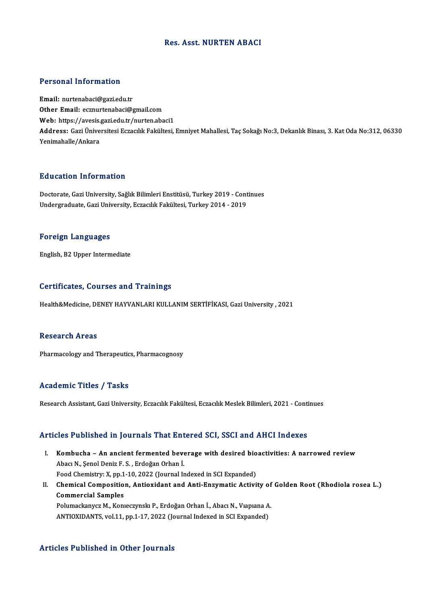#### Res. Asst.NURTEN ABACI

#### Personal Information

Email: nurtenabaci@gazi.edu.tr Other Email: ecznurtenabaci@gmail.com Email: nurtenabaci@gazi.edu.tr<br>Other Email: ecznurtenabaci@gmail.com<br>Web: https://avesis.gazi.edu.tr/nurten.abaci1<br>Addressy Cari Universitesi Essesult Felsiltesi Address: Gazi Üniversitesi Eczacılık Fakültesi, Emniyet Mahallesi, Taç Sokağı No:3, Dekanlık Binası, 3. Kat Oda No:312, 06330<br>Yenimahalle/Ankara Web: https://avesis.<br>Address: Gazi Ünive<br>Yenimahalle/Ankara

## Education Information

Education Information<br>Doctorate, Gazi University, Sağlık Bilimleri Enstitüsü, Turkey 2019 - Continues<br>Undergraduate Cari University, Estaglık Fakültesi Turkey 2014, 2019 undergraduate, Timor inderen<br>Doctorate, Gazi University, Sağlık Bilimleri Enstitüsü, Turkey 2019 - Cont<br>Undergraduate, Gazi University, Eczacılık Fakültesi, Turkey 2014 - 2019 Undergraduate, Gazi University, Eczacılık Fakültesi, Turkey 2014 - 2019<br>Foreign Languages

English,B2Upper Intermediate

#### Certificates, Courses and Trainings

Health&Medicine, DENEY HAYVANLARI KULLANIM SERTİFİKASI, Gazi University , 2021

### Research Areas

Pharmacology and Therapeutics, Pharmacognosy

#### Academic Titles / Tasks

Research Assistant, Gazi University, Eczacılık Fakültesi, Eczacılık Meslek Bilimleri, 2021 - Continues

#### Articles Published in Journals That Entered SCI, SSCI and AHCI Indexes

- rticles Published in Journals That Entered SCI, SSCI and AHCI Indexes<br>I. Kombucha An ancient fermented beverage with desired bioactivities: A narrowed review Abacı N., ŞenolDeniz F. S., Erdoğan Orhan İ.<br>Abacı N., Şenol Deniz F. S., Erdoğan Orhan İ.<br>Feod Chemistru: Y. nn 1 10 2022 (Journal I. Abacı N., Şenol Deniz F. S., Erdoğan Orhan İ.<br>Food Chemistry: X, pp.1-10, 2022 (Journal Indexed in SCI Expanded) Abacı N., Şenol Deniz F. S. , Erdoğan Orhan İ.<br>Food Chemistry: X, pp.1-10, 2022 (Journal Indexed in SCI Expanded)<br>II. Chemical Composition, Antioxidant and Anti-Enzymatic Activity of Golden Root (Rhodiola rosea L.)<br>Com
- Food Chemistry: X, pp.1<br>Chemical Compositio<br>Commercial Samples<br>Rohmockanyer M, Kon Chemical Composition, Antioxidant and Anti-Enzymatic Activity of<br>Commercial Samples<br>Polumackanycz M., Konıeczynskı P., Erdoğan Orhan İ., Abacı N., Vıapıana A.<br>ANTIOYIDANTS. vol.11. pp.1.17.2022 (Journal Indoved ip SCI Evno Commercial Samples<br>Polumackanycz M., Konieczynski P., Erdoğan Orhan İ., Abacı N., Viapiana A.<br>ANTIOXIDANTS, vol.11, pp.1-17, 2022 (Journal Indexed in SCI Expanded)

#### Articles Published in Other Journals